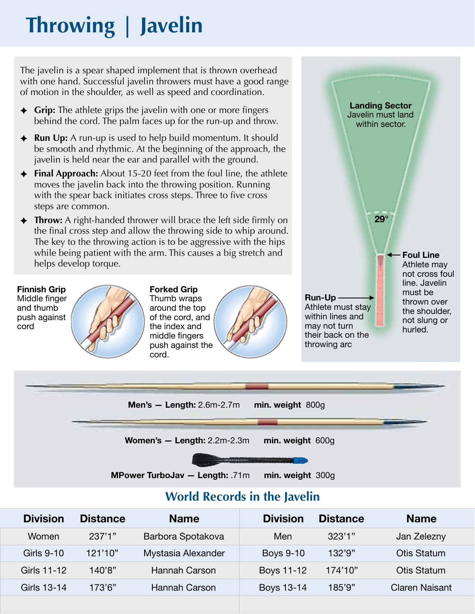# **Throwing | Javelin**

The javelin is a spear shaped implement that is thrown overhead with one hand. Successful javelin throwers must have a good range of motion in the shoulder, as well as speed and coordination.

- ✦ **Grip:** The athlete grips the javelin with one or more fingers behind the cord. The palm faces up for the run-up and throw.
- ✦ **Run Up:** A run-up is used to help build momentum. It should be smooth and rhythmic. At the beginning of the approach, the javelin is held near the ear and parallel with the ground.
- ✦ **Final Approach:** About 15-20 feet from the foul line, the athlete moves the javelin back into the throwing position. Running with the spear back initiates cross steps. Three to five cross steps are common.
- ✦ **Throw:** A right-handed thrower will brace the left side firmly on the final cross step and allow the throwing side to whip around. The key to the throwing action is to be aggressive with the hips while being patient with the arm. This causes a big stretch and helps develop torque.



**Forked Grip**  Thumb wraps around the top of the cord, and the index and middle fingers push against the cord.



**Run-Up**  Athlete must stay within lines and may not turn their back on the throwing arc

**Landing Sector**  Javelin must land within sector.

**29°** 

**Foul Line**  Athlete may not cross foul line. Javelin must be thrown over the shoulder, not slung or hurled.



### **World Records in the Javelin**

| <b>Division</b> | <b>Distance</b> | <b>Name</b>        | <b>Division</b>  | <b>Distance</b> | <b>Name</b>           |
|-----------------|-----------------|--------------------|------------------|-----------------|-----------------------|
| Women           | 237'1"          | Barbora Spotakova  | Men              | 323'1''         | Jan Zelezny           |
| Girls 9-10      | 121'10"         | Mystasia Alexander | <b>Boys 9-10</b> | 132'9''         | Otis Statum           |
| Girls 11-12     | 140'8"          | Hannah Carson      | Boys 11-12       | 174'10"         | Otis Statum           |
| Girls 13-14     | 173'6"          | Hannah Carson      | Boys 13-14       | 185'9"          | <b>Claren Naisant</b> |
|                 |                 |                    |                  |                 |                       |